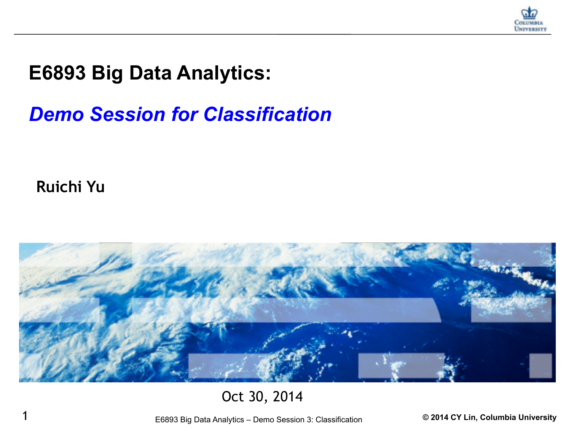

#### **E6893 Big Data Analytics:**

### *Demo Session for Classification*

**Ruichi Yu**



#### Oct 30, 2014

1 E6893 Big Data Analytics – Demo Session 3: Classification **© 2014 CY Lin, Columbia University**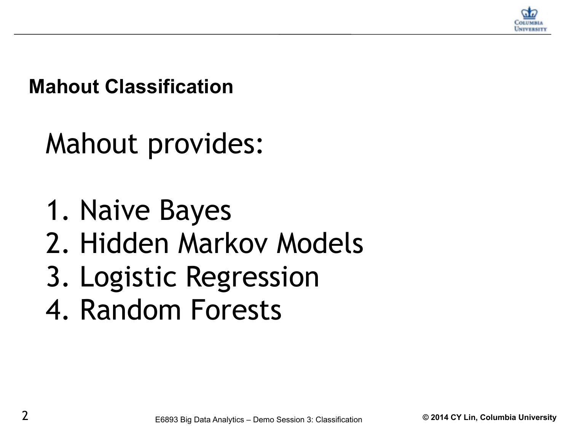

**Mahout Classification**

Mahout provides:

1. Naive Bayes

- 2. Hidden Markov Models
- 3. Logistic Regression
- 4. Random Forests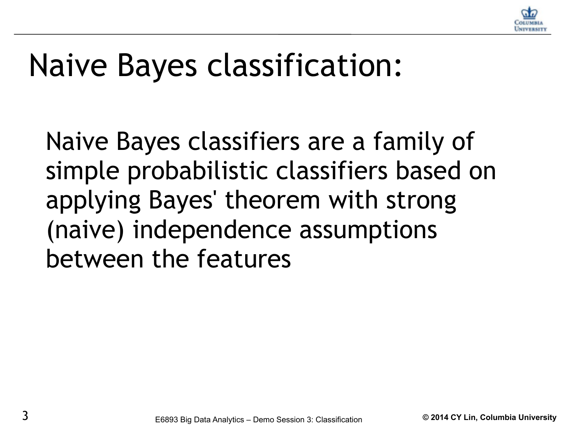

# Naive Bayes classification:

Naive Bayes classifiers are a family of simple probabilistic classifiers based on applying Bayes' theorem with strong (naive) independence assumptions between the features.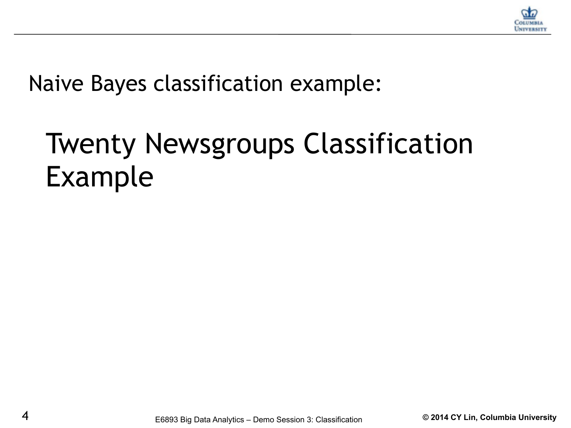

Naive Bayes classification example:

## Twenty Newsgroups Classification Example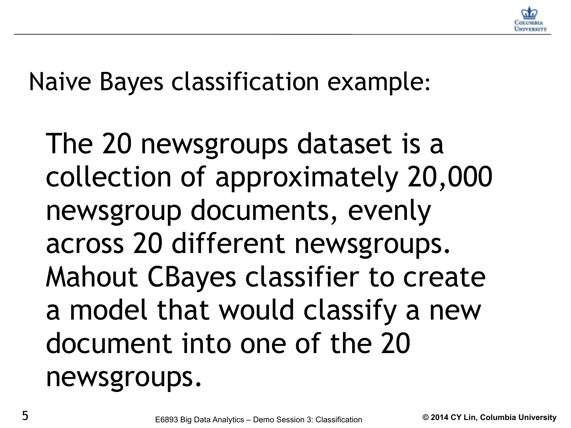

Naive Bayes classification example:

The 20 newsgroups dataset is a collection of approximately 20,000 newsgroup documents, evenly across 20 different newsgroups. Mahout CBayes classifier to create a model that would classify a new document into one of the 20 newsgroups.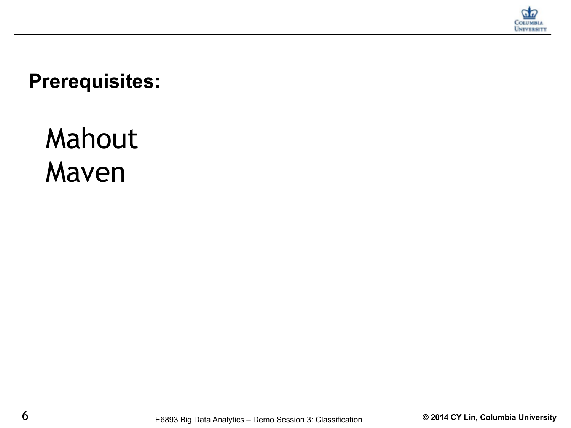

**Prerequisites:**

### Mahout Maven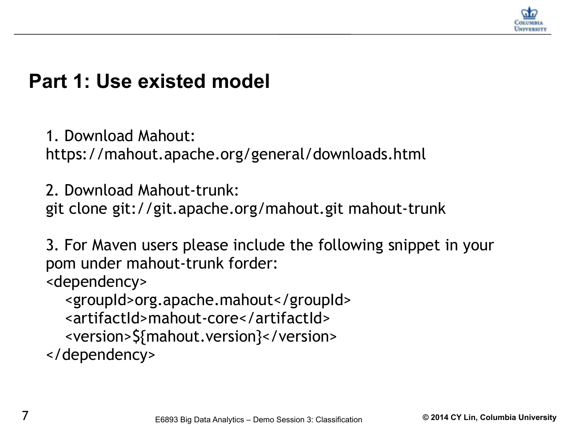

1. Download Mahout:

https://mahout.apache.org/general/downloads.html

2. Download Mahout-trunk: git clone git://git.apache.org/mahout.git mahout-trunk

3. For Maven users please include the following snippet in your pom under mahout-trunk forder:

<dependency>

 <groupId>org.apache.mahout</groupId> <artifactId>mahout-core</artifactId>

<version>\${mahout.version}</version>

</dependency>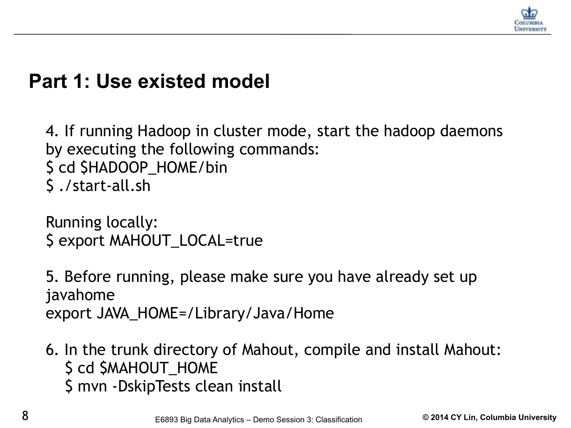

4. If running Hadoop in cluster mode, start the hadoop daemons by executing the following commands: \$ cd \$HADOOP\_HOME/bin \$ ./start-all.sh

Running locally: \$ export MAHOUT\_LOCAL=true

5. Before running, please make sure you have already set up javahome export JAVA\_HOME=/Library/Java/Home

6. In the trunk directory of Mahout, compile and install Mahout: \$ cd \$MAHOUT\_HOME \$ mvn -DskipTests clean install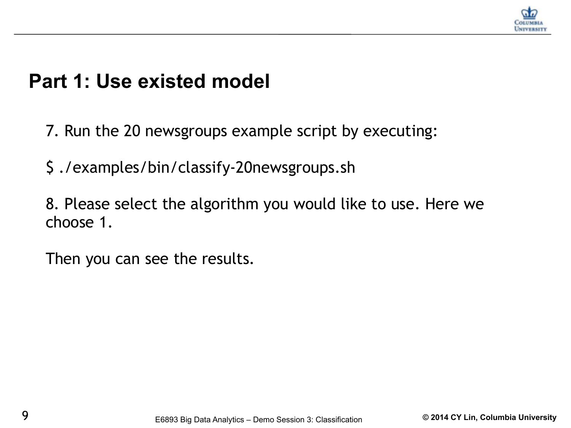

- 7. Run the 20 newsgroups example script by executing:
- \$ ./examples/bin/classify-20newsgroups.sh
- 8. Please select the algorithm you would like to use. Here we choose 1.
- Then you can see the results.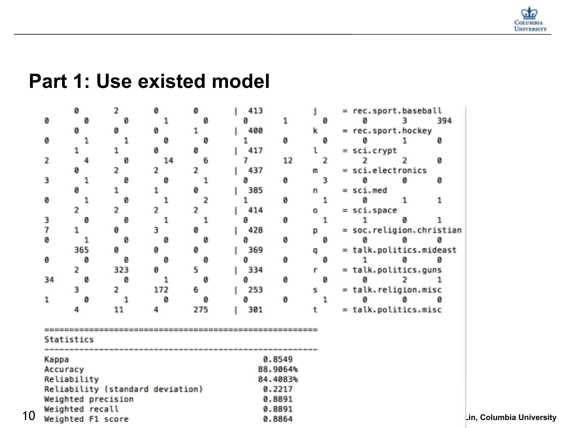

|    |                   | ø                  | 2                                | ø        | ø                |  | 413 |    |              |   |  | = rec.sport.baseball     |   |     |                          |
|----|-------------------|--------------------|----------------------------------|----------|------------------|--|-----|----|--------------|---|--|--------------------------|---|-----|--------------------------|
|    | ø                 | ø                  | ø                                | 1        | Ø                |  | ø   | 1  |              | ø |  | a                        |   | 394 |                          |
|    |                   | ø                  | Ø                                | ø        |                  |  | 400 |    | k            |   |  | = rec.sport.hockey       |   |     |                          |
|    | ø                 | 1                  |                                  | ø        | ø                |  |     | ø  |              | 0 |  | a                        |   | ø   |                          |
|    |                   |                    | 1                                | ø        | ø                |  | 417 |    |              |   |  | $=$ sci.crypt            |   |     |                          |
|    | 2                 | 4                  | Ø                                | 14       | 6                |  |     | 12 |              | 2 |  |                          |   | ø   |                          |
|    |                   | Ø                  | 2                                | 2        | 2                |  | 437 |    | $\mathsf{m}$ |   |  | = sci.electronics        |   |     |                          |
|    | 3                 | 1                  | 0                                | 0        | 1                |  | ø   | ø  |              | 3 |  | ø                        | ø | ø   |                          |
|    |                   | Ø                  | 1                                | 1        | ø                |  | 385 |    | n            |   |  | $=$ sci.med              |   |     |                          |
|    | ø                 | 1                  | ø                                | 1        | 2                |  |     | ø  |              | 1 |  | ø                        | 1 |     |                          |
|    |                   |                    | 2                                | 2        | 2                |  | 414 |    | o            |   |  | = sci.space              |   |     |                          |
|    | 3                 | ø                  | ø                                | 1        | 1                |  | ø   | ø  |              | 1 |  |                          | ø |     |                          |
|    | 7                 |                    | Ø                                | з        | ø                |  | 428 |    | D            |   |  | = soc.religion.christian |   |     |                          |
|    | ø                 | 1                  | ø                                | ø        | Ø                |  | ø   | ø  |              | ø |  | ø                        |   |     |                          |
|    |                   | 365                | ø                                | ø        | 0                |  | 369 |    | q            |   |  | = talk.politics.mideast  |   |     |                          |
|    | ø                 | ø                  | ø                                | ø        | Ø                |  |     | ø  |              | 0 |  |                          | ø | ø   |                          |
|    |                   | 2                  | 323                              | ø        | 5                |  | 334 |    | r            |   |  | = talk.politics.guns     |   |     |                          |
|    | 34                | 0                  | ø                                | 1        | Ø                |  | Ø   | ø  |              | 0 |  | a                        |   |     |                          |
|    |                   | 3                  | 2                                | 172      | 6                |  | 253 |    | s            |   |  | = talk.religion.misc     |   |     |                          |
|    | 1                 | ø                  | 1                                | ø        | Ø                |  | ø   | Й  |              | 1 |  | a                        | ø |     |                          |
|    |                   |                    | 11                               | 4        | 275              |  | 301 |    |              |   |  | = talk.politics.misc     |   |     |                          |
|    |                   |                    |                                  |          |                  |  |     |    |              |   |  |                          |   |     |                          |
|    |                   | Statistics         |                                  |          |                  |  |     |    |              |   |  |                          |   |     |                          |
|    | 0.8549<br>Kappa   |                    |                                  |          |                  |  |     |    |              |   |  |                          |   |     |                          |
|    | Accuracy          |                    |                                  |          | 88.9064%         |  |     |    |              |   |  |                          |   |     |                          |
|    |                   | Reliability        |                                  | 84.4083% |                  |  |     |    |              |   |  |                          |   |     |                          |
|    |                   |                    | Reliability (standard deviation) | 0.2217   |                  |  |     |    |              |   |  |                          |   |     |                          |
|    |                   | Weighted precision |                                  | 0.8891   |                  |  |     |    |              |   |  |                          |   |     |                          |
|    |                   |                    |                                  |          |                  |  |     |    |              |   |  |                          |   |     |                          |
|    | Weighted F1 score |                    |                                  |          |                  |  |     |    |              |   |  |                          |   |     | Lin, Columbia University |
| 10 |                   | Weighted recall    |                                  |          | 0.8891<br>0.8864 |  |     |    |              |   |  |                          |   |     |                          |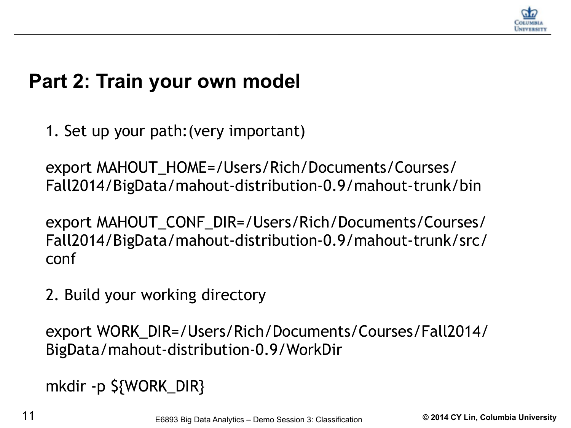

1. Set up your path:(very important)

export MAHOUT\_HOME=/Users/Rich/Documents/Courses/ Fall2014/BigData/mahout-distribution-0.9/mahout-trunk/bin

export MAHOUT\_CONF\_DIR=/Users/Rich/Documents/Courses/ Fall2014/BigData/mahout-distribution-0.9/mahout-trunk/src/ conf

2. Build your working directory

export WORK\_DIR=/Users/Rich/Documents/Courses/Fall2014/ BigData/mahout-distribution-0.9/WorkDir

mkdir -p \${WORK\_DIR}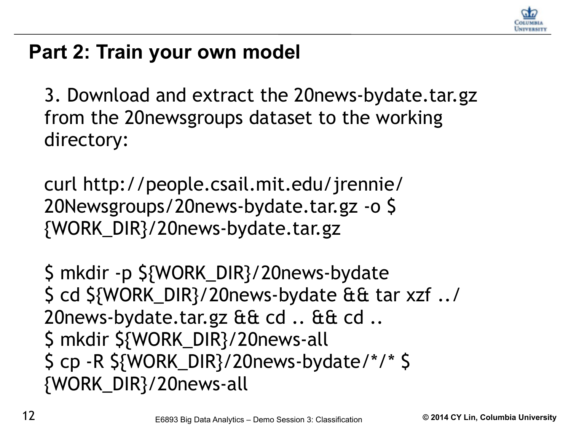

3. Download and extract the 20news-bydate.tar.gz from the 20newsgroups dataset to the working directory:

curl http://people.csail.mit.edu/jrennie/ 20Newsgroups/20news-bydate.tar.gz -o \$ {WORK\_DIR}/20news-bydate.tar.gz

\$ mkdir -p \${WORK\_DIR}/20news-bydate \$ cd \${WORK\_DIR}/20news-bydate && tar xzf ../ 20news-bydate.tar.gz && cd .. && cd .. \$ mkdir \${WORK\_DIR}/20news-all \$ cp -R \${WORK\_DIR}/20news-bydate/\*/\* \$ {WORK\_DIR}/20news-all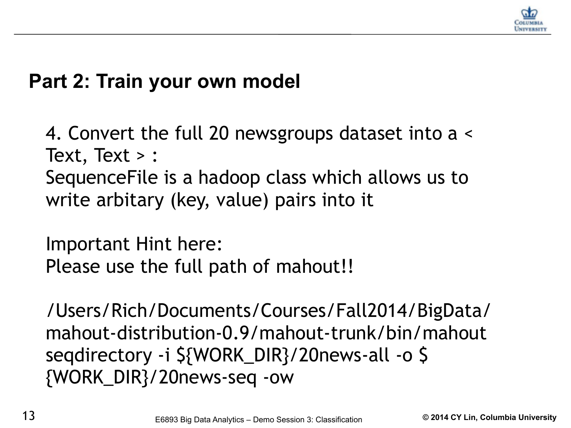

4. Convert the full 20 newsgroups dataset into a < Text, Text > : SequenceFile is a hadoop class which allows us to write arbitary (key, value) pairs into it

Important Hint here: Please use the full path of mahout!!

/Users/Rich/Documents/Courses/Fall2014/BigData/ mahout-distribution-0.9/mahout-trunk/bin/mahout seqdirectory -i \${WORK\_DIR}/20news-all -o \$ {WORK\_DIR}/20news-seq -ow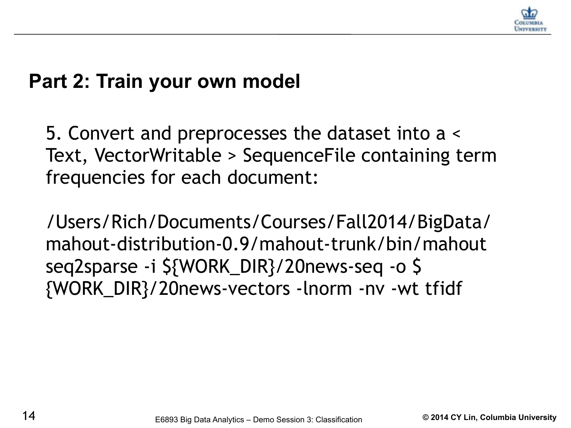

5. Convert and preprocesses the dataset into a < Text, VectorWritable > SequenceFile containing term frequencies for each document:

/Users/Rich/Documents/Courses/Fall2014/BigData/ mahout-distribution-0.9/mahout-trunk/bin/mahout seq2sparse -i \${WORK\_DIR}/20news-seq -o \$ {WORK\_DIR}/20news-vectors -lnorm -nv -wt tfidf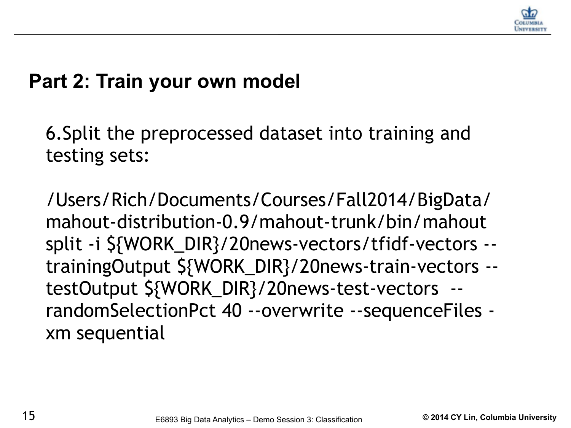

6.Split the preprocessed dataset into training and testing sets:

/Users/Rich/Documents/Courses/Fall2014/BigData/ mahout-distribution-0.9/mahout-trunk/bin/mahout split -i \${WORK\_DIR}/20news-vectors/tfidf-vectors - trainingOutput \${WORK\_DIR}/20news-train-vectors - testOutput \${WORK\_DIR}/20news-test-vectors - randomSelectionPct 40 --overwrite --sequenceFiles xm sequential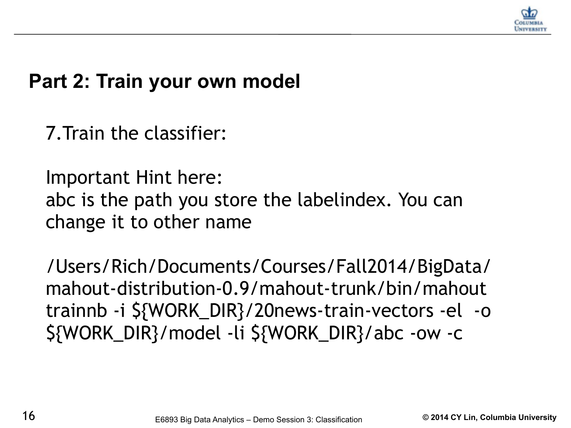

7.Train the classifier:

Important Hint here: abc is the path you store the labelindex. You can change it to other name

/Users/Rich/Documents/Courses/Fall2014/BigData/ mahout-distribution-0.9/mahout-trunk/bin/mahout trainnb -i \${WORK\_DIR}/20news-train-vectors -el -o \${WORK\_DIR}/model -li \${WORK\_DIR}/abc -ow -c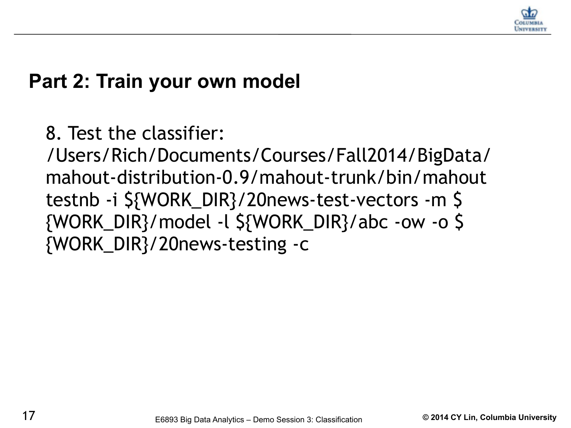

8. Test the classifier:

/Users/Rich/Documents/Courses/Fall2014/BigData/ mahout-distribution-0.9/mahout-trunk/bin/mahout testnb -i \${WORK\_DIR}/20news-test-vectors -m \$ {WORK\_DIR}/model -l \${WORK\_DIR}/abc -ow -o \$ {WORK\_DIR}/20news-testing -c